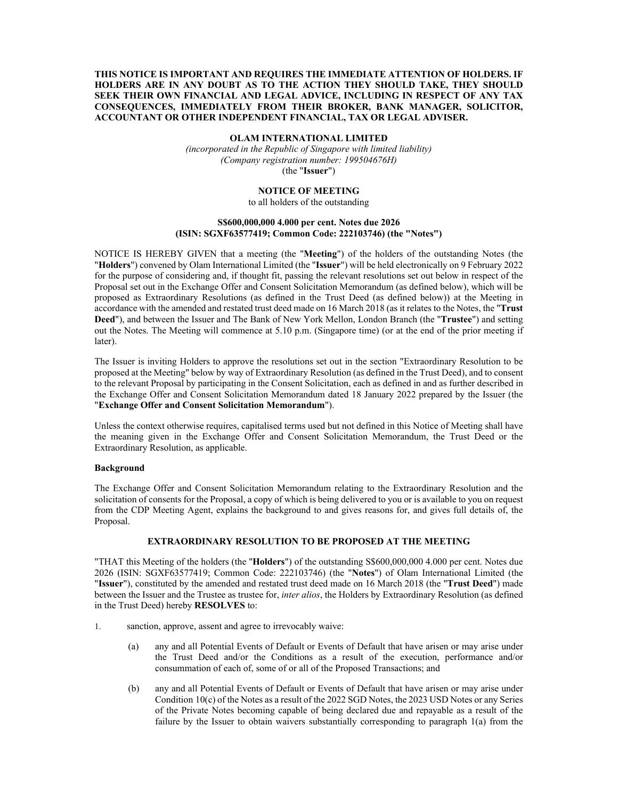# **THIS NOTICE IS IMPORTANT AND REQUIRES THE IMMEDIATE ATTENTION OF HOLDERS. IF HOLDERS ARE IN ANY DOUBT AS TO THE ACTION THEY SHOULD TAKE, THEY SHOULD SEEK THEIR OWN FINANCIAL AND LEGAL ADVICE, INCLUDING IN RESPECT OF ANY TAX CONSEQUENCES, IMMEDIATELY FROM THEIR BROKER, BANK MANAGER, SOLICITOR, ACCOUNTANT OR OTHER INDEPENDENT FINANCIAL, TAX OR LEGAL ADVISER.**

### **OLAM INTERNATIONAL LIMITED**

*(incorporated in the Republic of Singapore with limited liability) (Company registration number: 199504676H)*  (the "**Issuer**")

#### **NOTICE OF MEETING**

to all holders of the outstanding

# **S\$600,000,000 4.000 per cent. Notes due 2026 (ISIN: SGXF63577419; Common Code: 222103746) (the "Notes")**

NOTICE IS HEREBY GIVEN that a meeting (the "**Meeting**") of the holders of the outstanding Notes (the "**Holders**") convened by Olam International Limited (the "**Issuer**") will be held electronically on 9 February 2022 for the purpose of considering and, if thought fit, passing the relevant resolutions set out below in respect of the Proposal set out in the Exchange Offer and Consent Solicitation Memorandum (as defined below), which will be proposed as Extraordinary Resolutions (as defined in the Trust Deed (as defined below)) at the Meeting in accordance with the amended and restated trust deed made on 16 March 2018 (as it relates to the Notes, the "**Trust Deed**"), and between the Issuer and The Bank of New York Mellon, London Branch (the "**Trustee**") and setting out the Notes. The Meeting will commence at 5.10 p.m. (Singapore time) (or at the end of the prior meeting if later).

The Issuer is inviting Holders to approve the resolutions set out in the section "Extraordinary Resolution to be proposed at the Meeting" below by way of Extraordinary Resolution (as defined in the Trust Deed), and to consent to the relevant Proposal by participating in the Consent Solicitation, each as defined in and as further described in the Exchange Offer and Consent Solicitation Memorandum dated 18 January 2022 prepared by the Issuer (the "**Exchange Offer and Consent Solicitation Memorandum**").

Unless the context otherwise requires, capitalised terms used but not defined in this Notice of Meeting shall have the meaning given in the Exchange Offer and Consent Solicitation Memorandum, the Trust Deed or the Extraordinary Resolution, as applicable.

#### **Background**

The Exchange Offer and Consent Solicitation Memorandum relating to the Extraordinary Resolution and the solicitation of consents for the Proposal, a copy of which is being delivered to you or is available to you on request from the CDP Meeting Agent, explains the background to and gives reasons for, and gives full details of, the Proposal.

# **EXTRAORDINARY RESOLUTION TO BE PROPOSED AT THE MEETING**

"THAT this Meeting of the holders (the "**Holders**") of the outstanding S\$600,000,000 4.000 per cent. Notes due 2026 (ISIN: SGXF63577419; Common Code: 222103746) (the "**Notes**") of Olam International Limited (the "**Issuer**"), constituted by the amended and restated trust deed made on 16 March 2018 (the "**Trust Deed**") made between the Issuer and the Trustee as trustee for, *inter alios*, the Holders by Extraordinary Resolution (as defined in the Trust Deed) hereby **RESOLVES** to:

- 1. sanction, approve, assent and agree to irrevocably waive:
	- (a) any and all Potential Events of Default or Events of Default that have arisen or may arise under the Trust Deed and/or the Conditions as a result of the execution, performance and/or consummation of each of, some of or all of the Proposed Transactions; and
	- (b) any and all Potential Events of Default or Events of Default that have arisen or may arise under Condition 10(c) of the Notes as a result of the 2022 SGD Notes, the 2023 USD Notes or any Series of the Private Notes becoming capable of being declared due and repayable as a result of the failure by the Issuer to obtain waivers substantially corresponding to paragraph 1(a) from the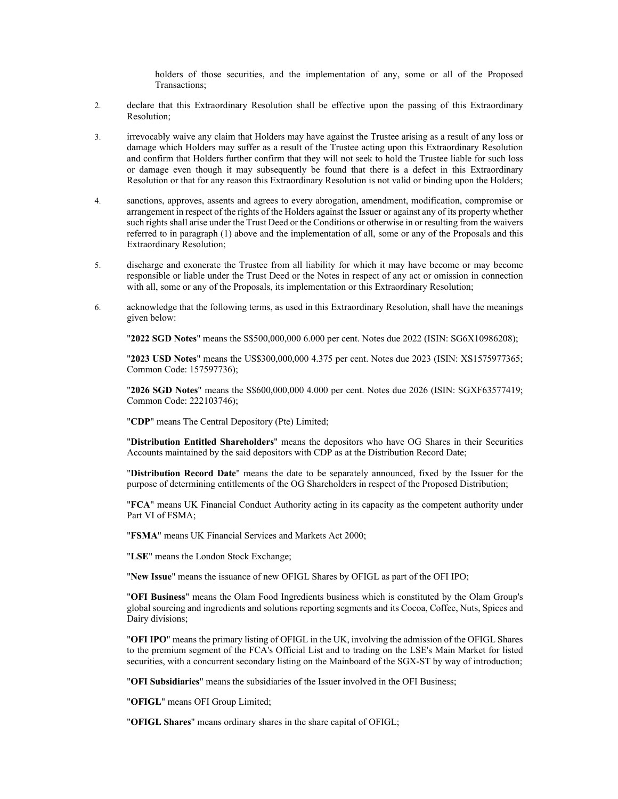holders of those securities, and the implementation of any, some or all of the Proposed Transactions;

- 2. declare that this Extraordinary Resolution shall be effective upon the passing of this Extraordinary Resolution;
- 3. irrevocably waive any claim that Holders may have against the Trustee arising as a result of any loss or damage which Holders may suffer as a result of the Trustee acting upon this Extraordinary Resolution and confirm that Holders further confirm that they will not seek to hold the Trustee liable for such loss or damage even though it may subsequently be found that there is a defect in this Extraordinary Resolution or that for any reason this Extraordinary Resolution is not valid or binding upon the Holders;
- 4. sanctions, approves, assents and agrees to every abrogation, amendment, modification, compromise or arrangement in respect of the rights of the Holders against the Issuer or against any of its property whether such rights shall arise under the Trust Deed or the Conditions or otherwise in or resulting from the waivers referred to in paragraph (1) above and the implementation of all, some or any of the Proposals and this Extraordinary Resolution;
- 5. discharge and exonerate the Trustee from all liability for which it may have become or may become responsible or liable under the Trust Deed or the Notes in respect of any act or omission in connection with all, some or any of the Proposals, its implementation or this Extraordinary Resolution;
- 6. acknowledge that the following terms, as used in this Extraordinary Resolution, shall have the meanings given below:

"**2022 SGD Notes**" means the S\$500,000,000 6.000 per cent. Notes due 2022 (ISIN: SG6X10986208);

"**2023 USD Notes**" means the US\$300,000,000 4.375 per cent. Notes due 2023 (ISIN: XS1575977365; Common Code: 157597736);

"**2026 SGD Notes**" means the S\$600,000,000 4.000 per cent. Notes due 2026 (ISIN: SGXF63577419; Common Code: 222103746);

"**CDP**" means The Central Depository (Pte) Limited;

"**Distribution Entitled Shareholders**" means the depositors who have OG Shares in their Securities Accounts maintained by the said depositors with CDP as at the Distribution Record Date;

"**Distribution Record Date**" means the date to be separately announced, fixed by the Issuer for the purpose of determining entitlements of the OG Shareholders in respect of the Proposed Distribution;

"**FCA**" means UK Financial Conduct Authority acting in its capacity as the competent authority under Part VI of FSMA;

"**FSMA**" means UK Financial Services and Markets Act 2000;

"**LSE**" means the London Stock Exchange;

"**New Issue**" means the issuance of new OFIGL Shares by OFIGL as part of the OFI IPO;

"**OFI Business**" means the Olam Food Ingredients business which is constituted by the Olam Group's global sourcing and ingredients and solutions reporting segments and its Cocoa, Coffee, Nuts, Spices and Dairy divisions;

"**OFI IPO**" means the primary listing of OFIGL in the UK, involving the admission of the OFIGL Shares to the premium segment of the FCA's Official List and to trading on the LSE's Main Market for listed securities, with a concurrent secondary listing on the Mainboard of the SGX-ST by way of introduction;

"**OFI Subsidiaries**" means the subsidiaries of the Issuer involved in the OFI Business;

"**OFIGL**" means OFI Group Limited;

"**OFIGL Shares**" means ordinary shares in the share capital of OFIGL;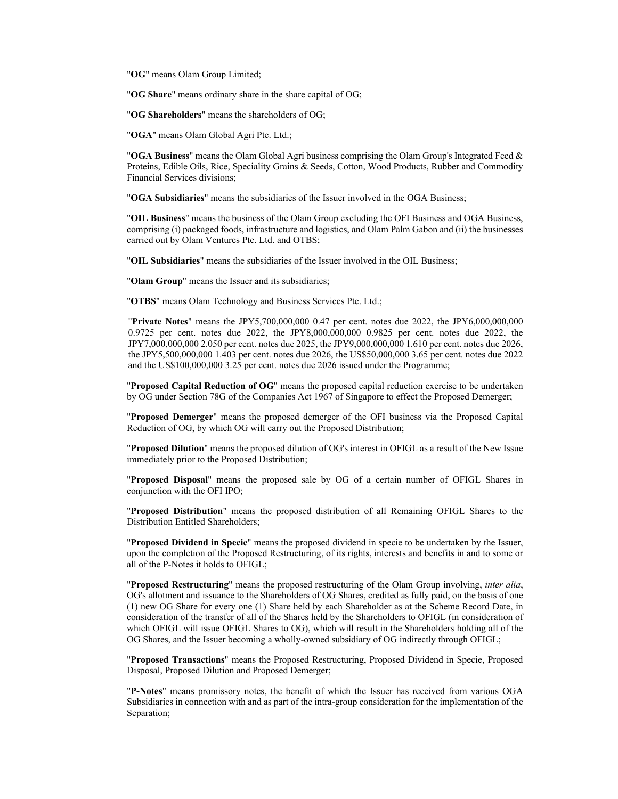"**OG**" means Olam Group Limited;

"**OG Share**" means ordinary share in the share capital of OG;

"**OG Shareholders**" means the shareholders of OG;

"**OGA**" means Olam Global Agri Pte. Ltd.;

"**OGA Business**" means the Olam Global Agri business comprising the Olam Group's Integrated Feed & Proteins, Edible Oils, Rice, Speciality Grains & Seeds, Cotton, Wood Products, Rubber and Commodity Financial Services divisions;

"**OGA Subsidiaries**" means the subsidiaries of the Issuer involved in the OGA Business;

"**OIL Business**" means the business of the Olam Group excluding the OFI Business and OGA Business, comprising (i) packaged foods, infrastructure and logistics, and Olam Palm Gabon and (ii) the businesses carried out by Olam Ventures Pte. Ltd. and OTBS;

"**OIL Subsidiaries**" means the subsidiaries of the Issuer involved in the OIL Business;

"**Olam Group**" means the Issuer and its subsidiaries;

"**OTBS**" means Olam Technology and Business Services Pte. Ltd.;

"**Private Notes**" means the JPY5,700,000,000 0.47 per cent. notes due 2022, the JPY6,000,000,000 0.9725 per cent. notes due 2022, the JPY8,000,000,000 0.9825 per cent. notes due 2022, the JPY7,000,000,000 2.050 per cent. notes due 2025, the JPY9,000,000,000 1.610 per cent. notes due 2026, the JPY5,500,000,000 1.403 per cent. notes due 2026, the US\$50,000,000 3.65 per cent. notes due 2022 and the US\$100,000,000 3.25 per cent. notes due 2026 issued under the Programme;

"**Proposed Capital Reduction of OG**" means the proposed capital reduction exercise to be undertaken by OG under Section 78G of the Companies Act 1967 of Singapore to effect the Proposed Demerger;

"**Proposed Demerger**" means the proposed demerger of the OFI business via the Proposed Capital Reduction of OG, by which OG will carry out the Proposed Distribution;

"**Proposed Dilution**" means the proposed dilution of OG's interest in OFIGL as a result of the New Issue immediately prior to the Proposed Distribution;

"**Proposed Disposal**" means the proposed sale by OG of a certain number of OFIGL Shares in conjunction with the OFI IPO;

"**Proposed Distribution**" means the proposed distribution of all Remaining OFIGL Shares to the Distribution Entitled Shareholders;

"**Proposed Dividend in Specie**" means the proposed dividend in specie to be undertaken by the Issuer, upon the completion of the Proposed Restructuring, of its rights, interests and benefits in and to some or all of the P-Notes it holds to OFIGL;

"**Proposed Restructuring**" means the proposed restructuring of the Olam Group involving, *inter alia*, OG's allotment and issuance to the Shareholders of OG Shares, credited as fully paid, on the basis of one (1) new OG Share for every one (1) Share held by each Shareholder as at the Scheme Record Date, in consideration of the transfer of all of the Shares held by the Shareholders to OFIGL (in consideration of which OFIGL will issue OFIGL Shares to OG), which will result in the Shareholders holding all of the OG Shares, and the Issuer becoming a wholly-owned subsidiary of OG indirectly through OFIGL;

"**Proposed Transactions**" means the Proposed Restructuring, Proposed Dividend in Specie, Proposed Disposal, Proposed Dilution and Proposed Demerger;

"**P-Notes**" means promissory notes, the benefit of which the Issuer has received from various OGA Subsidiaries in connection with and as part of the intra-group consideration for the implementation of the Separation;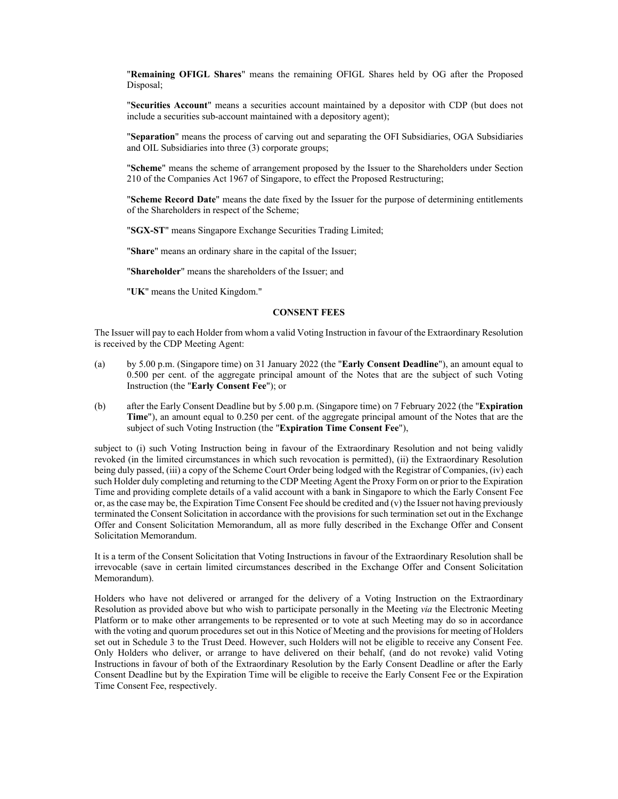"**Remaining OFIGL Shares**" means the remaining OFIGL Shares held by OG after the Proposed Disposal;

"**Securities Account**" means a securities account maintained by a depositor with CDP (but does not include a securities sub-account maintained with a depository agent);

"**Separation**" means the process of carving out and separating the OFI Subsidiaries, OGA Subsidiaries and OIL Subsidiaries into three (3) corporate groups;

"**Scheme**" means the scheme of arrangement proposed by the Issuer to the Shareholders under Section 210 of the Companies Act 1967 of Singapore, to effect the Proposed Restructuring;

"**Scheme Record Date**" means the date fixed by the Issuer for the purpose of determining entitlements of the Shareholders in respect of the Scheme;

"**SGX-ST**" means Singapore Exchange Securities Trading Limited;

"**Share**" means an ordinary share in the capital of the Issuer;

"**Shareholder**" means the shareholders of the Issuer; and

"**UK**" means the United Kingdom."

# **CONSENT FEES**

The Issuer will pay to each Holder from whom a valid Voting Instruction in favour of the Extraordinary Resolution is received by the CDP Meeting Agent:

- (a) by 5.00 p.m. (Singapore time) on 31 January 2022 (the "**Early Consent Deadline**"), an amount equal to 0.500 per cent. of the aggregate principal amount of the Notes that are the subject of such Voting Instruction (the "**Early Consent Fee**"); or
- (b) after the Early Consent Deadline but by 5.00 p.m. (Singapore time) on 7 February 2022 (the "**Expiration Time**"), an amount equal to 0.250 per cent. of the aggregate principal amount of the Notes that are the subject of such Voting Instruction (the "**Expiration Time Consent Fee**"),

subject to (i) such Voting Instruction being in favour of the Extraordinary Resolution and not being validly revoked (in the limited circumstances in which such revocation is permitted), (ii) the Extraordinary Resolution being duly passed, (iii) a copy of the Scheme Court Order being lodged with the Registrar of Companies, (iv) each such Holder duly completing and returning to the CDP Meeting Agent the Proxy Form on or prior to the Expiration Time and providing complete details of a valid account with a bank in Singapore to which the Early Consent Fee or, as the case may be, the Expiration Time Consent Fee should be credited and  $(v)$  the Issuer not having previously terminated the Consent Solicitation in accordance with the provisions for such termination set out in the Exchange Offer and Consent Solicitation Memorandum, all as more fully described in the Exchange Offer and Consent Solicitation Memorandum.

It is a term of the Consent Solicitation that Voting Instructions in favour of the Extraordinary Resolution shall be irrevocable (save in certain limited circumstances described in the Exchange Offer and Consent Solicitation Memorandum).

Holders who have not delivered or arranged for the delivery of a Voting Instruction on the Extraordinary Resolution as provided above but who wish to participate personally in the Meeting *via* the Electronic Meeting Platform or to make other arrangements to be represented or to vote at such Meeting may do so in accordance with the voting and quorum procedures set out in this Notice of Meeting and the provisions for meeting of Holders set out in Schedule 3 to the Trust Deed. However, such Holders will not be eligible to receive any Consent Fee. Only Holders who deliver, or arrange to have delivered on their behalf, (and do not revoke) valid Voting Instructions in favour of both of the Extraordinary Resolution by the Early Consent Deadline or after the Early Consent Deadline but by the Expiration Time will be eligible to receive the Early Consent Fee or the Expiration Time Consent Fee, respectively.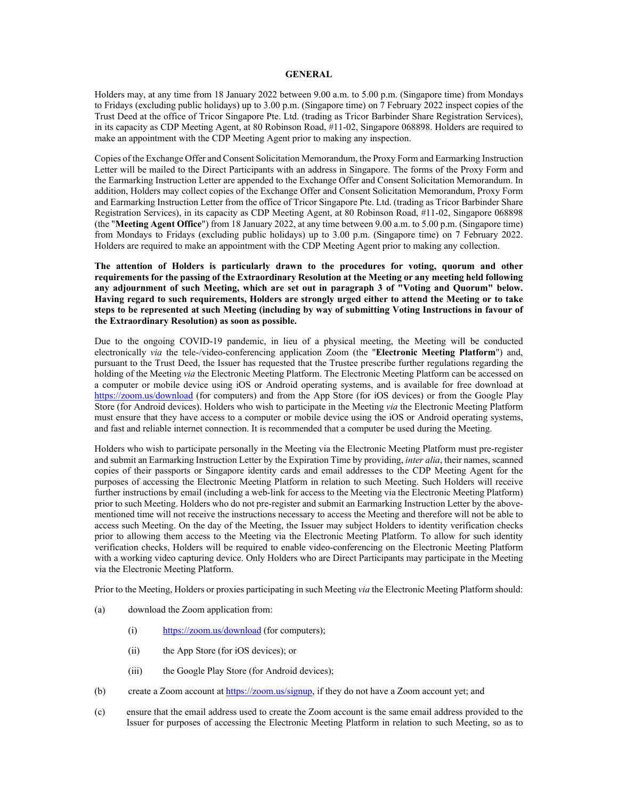### **GENERAL**

Holders may, at any time from 18 January 2022 between 9.00 a.m. to 5.00 p.m. (Singapore time) from Mondays to Fridays (excluding public holidays) up to 3.00 p.m. (Singapore time) on 7 February 2022 inspect copies of the Trust Deed at the office of Tricor Singapore Pte. Ltd. (trading as Tricor Barbinder Share Registration Services), in its capacity as CDP Meeting Agent, at 80 Robinson Road, #11-02, Singapore 068898. Holders are required to make an appointment with the CDP Meeting Agent prior to making any inspection.

Copies of the Exchange Offer and Consent Solicitation Memorandum, the Proxy Form and Earmarking Instruction Letter will be mailed to the Direct Participants with an address in Singapore. The forms of the Proxy Form and the Earmarking Instruction Letter are appended to the Exchange Offer and Consent Solicitation Memorandum. In addition, Holders may collect copies of the Exchange Offer and Consent Solicitation Memorandum, Proxy Form and Earmarking Instruction Letter from the office of Tricor Singapore Pte. Ltd. (trading as Tricor Barbinder Share Registration Services), in its capacity as CDP Meeting Agent, at 80 Robinson Road, #11-02, Singapore 068898 (the "**Meeting Agent Office**") from 18 January 2022, at any time between 9.00 a.m. to 5.00 p.m. (Singapore time) from Mondays to Fridays (excluding public holidays) up to 3.00 p.m. (Singapore time) on 7 February 2022. Holders are required to make an appointment with the CDP Meeting Agent prior to making any collection.

**The attention of Holders is particularly drawn to the procedures for voting, quorum and other requirements for the passing of the Extraordinary Resolution at the Meeting or any meeting held following any adjournment of such Meeting, which are set out in paragraph 3 of "Voting and Quorum" below. Having regard to such requirements, Holders are strongly urged either to attend the Meeting or to take steps to be represented at such Meeting (including by way of submitting Voting Instructions in favour of the Extraordinary Resolution) as soon as possible.** 

Due to the ongoing COVID-19 pandemic, in lieu of a physical meeting, the Meeting will be conducted electronically *via* the tele-/video-conferencing application Zoom (the "**Electronic Meeting Platform**") and, pursuant to the Trust Deed, the Issuer has requested that the Trustee prescribe further regulations regarding the holding of the Meeting *via* the Electronic Meeting Platform. The Electronic Meeting Platform can be accessed on a computer or mobile device using iOS or Android operating systems, and is available for free download at https://zoom.us/download (for computers) and from the App Store (for iOS devices) or from the Google Play Store (for Android devices). Holders who wish to participate in the Meeting *via* the Electronic Meeting Platform must ensure that they have access to a computer or mobile device using the iOS or Android operating systems, and fast and reliable internet connection. It is recommended that a computer be used during the Meeting.

Holders who wish to participate personally in the Meeting via the Electronic Meeting Platform must pre-register and submit an Earmarking Instruction Letter by the Expiration Time by providing, *inter alia*, their names, scanned copies of their passports or Singapore identity cards and email addresses to the CDP Meeting Agent for the purposes of accessing the Electronic Meeting Platform in relation to such Meeting. Such Holders will receive further instructions by email (including a web-link for access to the Meeting via the Electronic Meeting Platform) prior to such Meeting. Holders who do not pre-register and submit an Earmarking Instruction Letter by the abovementioned time will not receive the instructions necessary to access the Meeting and therefore will not be able to access such Meeting. On the day of the Meeting, the Issuer may subject Holders to identity verification checks prior to allowing them access to the Meeting via the Electronic Meeting Platform. To allow for such identity verification checks, Holders will be required to enable video-conferencing on the Electronic Meeting Platform with a working video capturing device. Only Holders who are Direct Participants may participate in the Meeting via the Electronic Meeting Platform.

Prior to the Meeting, Holders or proxies participating in such Meeting *via* the Electronic Meeting Platform should:

- (a) download the Zoom application from:
	- (i) https://zoom.us/download (for computers);
	- (ii) the App Store (for iOS devices); or
	- (iii) the Google Play Store (for Android devices);
- (b) create a Zoom account at https://zoom.us/signup, if they do not have a Zoom account yet; and
- (c) ensure that the email address used to create the Zoom account is the same email address provided to the Issuer for purposes of accessing the Electronic Meeting Platform in relation to such Meeting, so as to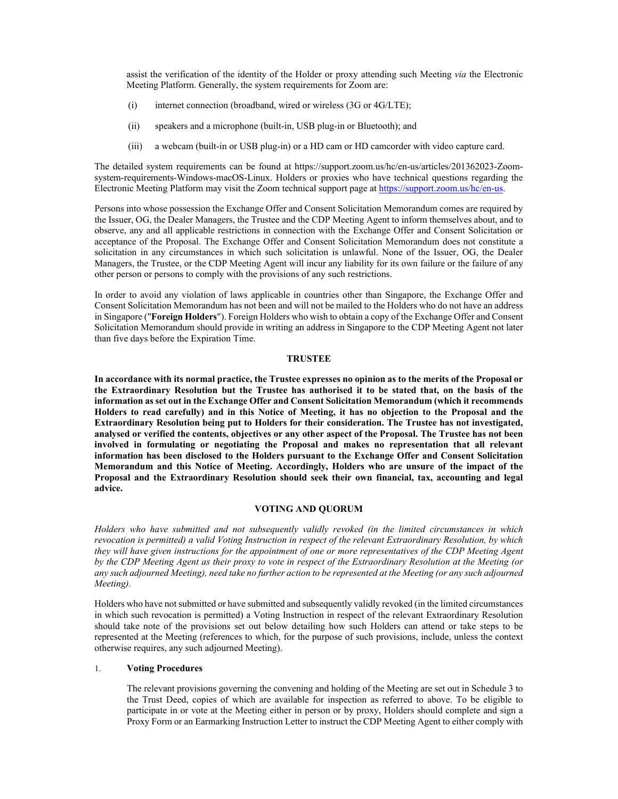assist the verification of the identity of the Holder or proxy attending such Meeting *via* the Electronic Meeting Platform. Generally, the system requirements for Zoom are:

- (i) internet connection (broadband, wired or wireless (3G or 4G/LTE);
- (ii) speakers and a microphone (built-in, USB plug-in or Bluetooth); and
- (iii) a webcam (built-in or USB plug-in) or a HD cam or HD camcorder with video capture card.

The detailed system requirements can be found at https://support.zoom.us/hc/en-us/articles/201362023-Zoomsystem-requirements-Windows-macOS-Linux. Holders or proxies who have technical questions regarding the Electronic Meeting Platform may visit the Zoom technical support page at https://support.zoom.us/hc/en-us.

Persons into whose possession the Exchange Offer and Consent Solicitation Memorandum comes are required by the Issuer, OG, the Dealer Managers, the Trustee and the CDP Meeting Agent to inform themselves about, and to observe, any and all applicable restrictions in connection with the Exchange Offer and Consent Solicitation or acceptance of the Proposal. The Exchange Offer and Consent Solicitation Memorandum does not constitute a solicitation in any circumstances in which such solicitation is unlawful. None of the Issuer, OG, the Dealer Managers, the Trustee, or the CDP Meeting Agent will incur any liability for its own failure or the failure of any other person or persons to comply with the provisions of any such restrictions.

In order to avoid any violation of laws applicable in countries other than Singapore, the Exchange Offer and Consent Solicitation Memorandum has not been and will not be mailed to the Holders who do not have an address in Singapore ("**Foreign Holders**"). Foreign Holders who wish to obtain a copy of the Exchange Offer and Consent Solicitation Memorandum should provide in writing an address in Singapore to the CDP Meeting Agent not later than five days before the Expiration Time.

# **TRUSTEE**

**In accordance with its normal practice, the Trustee expresses no opinion as to the merits of the Proposal or the Extraordinary Resolution but the Trustee has authorised it to be stated that, on the basis of the information as set out in the Exchange Offer and Consent Solicitation Memorandum (which it recommends Holders to read carefully) and in this Notice of Meeting, it has no objection to the Proposal and the Extraordinary Resolution being put to Holders for their consideration. The Trustee has not investigated, analysed or verified the contents, objectives or any other aspect of the Proposal. The Trustee has not been involved in formulating or negotiating the Proposal and makes no representation that all relevant information has been disclosed to the Holders pursuant to the Exchange Offer and Consent Solicitation Memorandum and this Notice of Meeting. Accordingly, Holders who are unsure of the impact of the Proposal and the Extraordinary Resolution should seek their own financial, tax, accounting and legal advice.** 

#### **VOTING AND QUORUM**

*Holders who have submitted and not subsequently validly revoked (in the limited circumstances in which revocation is permitted) a valid Voting Instruction in respect of the relevant Extraordinary Resolution, by which they will have given instructions for the appointment of one or more representatives of the CDP Meeting Agent by the CDP Meeting Agent as their proxy to vote in respect of the Extraordinary Resolution at the Meeting (or*  any such adjourned Meeting), need take no further action to be represented at the Meeting (or any such adjourned *Meeting).* 

Holders who have not submitted or have submitted and subsequently validly revoked (in the limited circumstances in which such revocation is permitted) a Voting Instruction in respect of the relevant Extraordinary Resolution should take note of the provisions set out below detailing how such Holders can attend or take steps to be represented at the Meeting (references to which, for the purpose of such provisions, include, unless the context otherwise requires, any such adjourned Meeting).

# 1. **Voting Procedures**

The relevant provisions governing the convening and holding of the Meeting are set out in Schedule 3 to the Trust Deed, copies of which are available for inspection as referred to above. To be eligible to participate in or vote at the Meeting either in person or by proxy, Holders should complete and sign a Proxy Form or an Earmarking Instruction Letter to instruct the CDP Meeting Agent to either comply with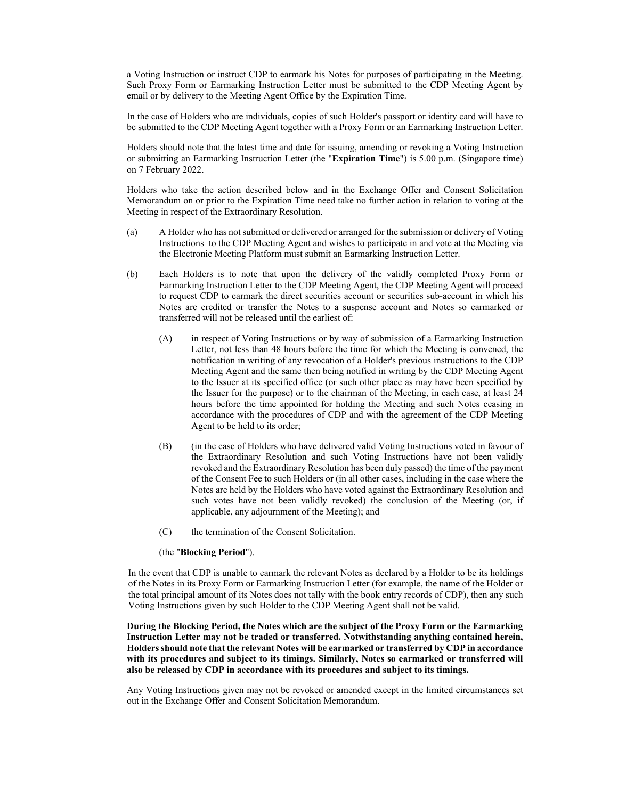a Voting Instruction or instruct CDP to earmark his Notes for purposes of participating in the Meeting. Such Proxy Form or Earmarking Instruction Letter must be submitted to the CDP Meeting Agent by email or by delivery to the Meeting Agent Office by the Expiration Time.

In the case of Holders who are individuals, copies of such Holder's passport or identity card will have to be submitted to the CDP Meeting Agent together with a Proxy Form or an Earmarking Instruction Letter.

Holders should note that the latest time and date for issuing, amending or revoking a Voting Instruction or submitting an Earmarking Instruction Letter (the "**Expiration Time**") is 5.00 p.m. (Singapore time) on 7 February 2022.

Holders who take the action described below and in the Exchange Offer and Consent Solicitation Memorandum on or prior to the Expiration Time need take no further action in relation to voting at the Meeting in respect of the Extraordinary Resolution.

- (a) A Holder who has not submitted or delivered or arranged for the submission or delivery of Voting Instructions to the CDP Meeting Agent and wishes to participate in and vote at the Meeting via the Electronic Meeting Platform must submit an Earmarking Instruction Letter.
- (b) Each Holders is to note that upon the delivery of the validly completed Proxy Form or Earmarking Instruction Letter to the CDP Meeting Agent, the CDP Meeting Agent will proceed to request CDP to earmark the direct securities account or securities sub-account in which his Notes are credited or transfer the Notes to a suspense account and Notes so earmarked or transferred will not be released until the earliest of:
	- (A) in respect of Voting Instructions or by way of submission of a Earmarking Instruction Letter, not less than 48 hours before the time for which the Meeting is convened, the notification in writing of any revocation of a Holder's previous instructions to the CDP Meeting Agent and the same then being notified in writing by the CDP Meeting Agent to the Issuer at its specified office (or such other place as may have been specified by the Issuer for the purpose) or to the chairman of the Meeting, in each case, at least 24 hours before the time appointed for holding the Meeting and such Notes ceasing in accordance with the procedures of CDP and with the agreement of the CDP Meeting Agent to be held to its order;
	- (B) (in the case of Holders who have delivered valid Voting Instructions voted in favour of the Extraordinary Resolution and such Voting Instructions have not been validly revoked and the Extraordinary Resolution has been duly passed) the time of the payment of the Consent Fee to such Holders or (in all other cases, including in the case where the Notes are held by the Holders who have voted against the Extraordinary Resolution and such votes have not been validly revoked) the conclusion of the Meeting (or, if applicable, any adjournment of the Meeting); and
	- (C) the termination of the Consent Solicitation.

#### (the "**Blocking Period**").

In the event that CDP is unable to earmark the relevant Notes as declared by a Holder to be its holdings of the Notes in its Proxy Form or Earmarking Instruction Letter (for example, the name of the Holder or the total principal amount of its Notes does not tally with the book entry records of CDP), then any such Voting Instructions given by such Holder to the CDP Meeting Agent shall not be valid.

# **During the Blocking Period, the Notes which are the subject of the Proxy Form or the Earmarking Instruction Letter may not be traded or transferred. Notwithstanding anything contained herein, Holders should note that the relevant Notes will be earmarked or transferred by CDP in accordance with its procedures and subject to its timings. Similarly, Notes so earmarked or transferred will also be released by CDP in accordance with its procedures and subject to its timings.**

Any Voting Instructions given may not be revoked or amended except in the limited circumstances set out in the Exchange Offer and Consent Solicitation Memorandum.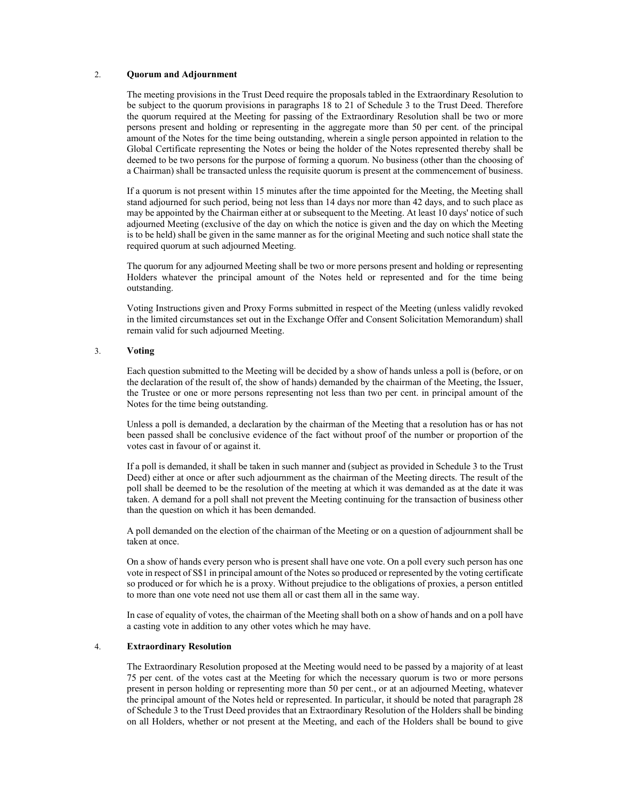#### 2. **Quorum and Adjournment**

The meeting provisions in the Trust Deed require the proposals tabled in the Extraordinary Resolution to be subject to the quorum provisions in paragraphs 18 to 21 of Schedule 3 to the Trust Deed. Therefore the quorum required at the Meeting for passing of the Extraordinary Resolution shall be two or more persons present and holding or representing in the aggregate more than 50 per cent. of the principal amount of the Notes for the time being outstanding, wherein a single person appointed in relation to the Global Certificate representing the Notes or being the holder of the Notes represented thereby shall be deemed to be two persons for the purpose of forming a quorum. No business (other than the choosing of a Chairman) shall be transacted unless the requisite quorum is present at the commencement of business.

If a quorum is not present within 15 minutes after the time appointed for the Meeting, the Meeting shall stand adjourned for such period, being not less than 14 days nor more than 42 days, and to such place as may be appointed by the Chairman either at or subsequent to the Meeting. At least 10 days' notice of such adjourned Meeting (exclusive of the day on which the notice is given and the day on which the Meeting is to be held) shall be given in the same manner as for the original Meeting and such notice shall state the required quorum at such adjourned Meeting.

The quorum for any adjourned Meeting shall be two or more persons present and holding or representing Holders whatever the principal amount of the Notes held or represented and for the time being outstanding.

Voting Instructions given and Proxy Forms submitted in respect of the Meeting (unless validly revoked in the limited circumstances set out in the Exchange Offer and Consent Solicitation Memorandum) shall remain valid for such adjourned Meeting.

### 3. **Voting**

Each question submitted to the Meeting will be decided by a show of hands unless a poll is (before, or on the declaration of the result of, the show of hands) demanded by the chairman of the Meeting, the Issuer, the Trustee or one or more persons representing not less than two per cent. in principal amount of the Notes for the time being outstanding.

Unless a poll is demanded, a declaration by the chairman of the Meeting that a resolution has or has not been passed shall be conclusive evidence of the fact without proof of the number or proportion of the votes cast in favour of or against it.

If a poll is demanded, it shall be taken in such manner and (subject as provided in Schedule 3 to the Trust Deed) either at once or after such adjournment as the chairman of the Meeting directs. The result of the poll shall be deemed to be the resolution of the meeting at which it was demanded as at the date it was taken. A demand for a poll shall not prevent the Meeting continuing for the transaction of business other than the question on which it has been demanded.

A poll demanded on the election of the chairman of the Meeting or on a question of adjournment shall be taken at once.

On a show of hands every person who is present shall have one vote. On a poll every such person has one vote in respect of S\$1 in principal amount of the Notes so produced or represented by the voting certificate so produced or for which he is a proxy. Without prejudice to the obligations of proxies, a person entitled to more than one vote need not use them all or cast them all in the same way.

In case of equality of votes, the chairman of the Meeting shall both on a show of hands and on a poll have a casting vote in addition to any other votes which he may have.

#### 4. **Extraordinary Resolution**

The Extraordinary Resolution proposed at the Meeting would need to be passed by a majority of at least 75 per cent. of the votes cast at the Meeting for which the necessary quorum is two or more persons present in person holding or representing more than 50 per cent., or at an adjourned Meeting, whatever the principal amount of the Notes held or represented. In particular, it should be noted that paragraph 28 of Schedule 3 to the Trust Deed provides that an Extraordinary Resolution of the Holders shall be binding on all Holders, whether or not present at the Meeting, and each of the Holders shall be bound to give